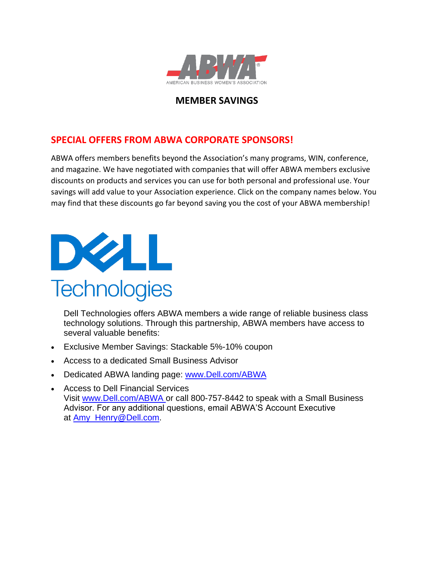

## **MEMBER SAVINGS**

## **SPECIAL OFFERS FROM ABWA CORPORATE SPONSORS!**

ABWA offers members benefits beyond the Association's many programs, WIN, conference, and magazine. We have negotiated with companies that will offer ABWA members exclusive discounts on products and services you can use for both personal and professional use. Your savings will add value to your Association experience. Click on the company names below. You may find that these discounts go far beyond saving you the cost of your ABWA membership!



Dell Technologies offers ABWA members a wide range of reliable business class technology solutions. Through this partnership, ABWA members have access to several valuable benefits:

- Exclusive Member Savings: Stackable 5%-10% coupon
- Access to a dedicated Small Business Advisor
- Dedicated ABWA landing page: <www.Dell.com/ABWA>
- Access to Dell Financial Services Visit [www.Dell.com/ABWA](www.Dell.com/ABWA ) or call 800-757-8442 to speak with a Small Business Advisor. For any additional questions, email ABWA'S Account Executive at [Amy\\_Henry@Dell.com.](Amy_Henry@Dell.com)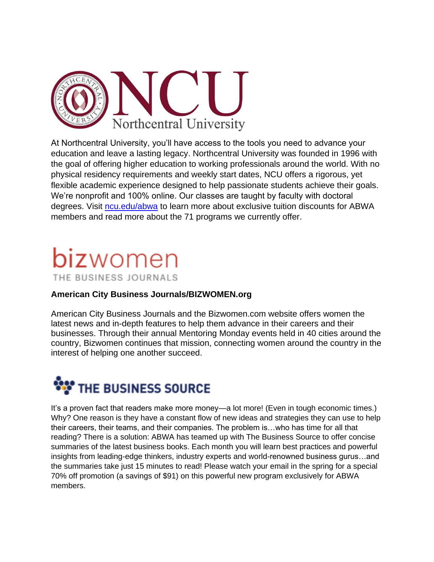

At Northcentral University, you'll have access to the tools you need to advance your education and leave a lasting legacy. Northcentral University was founded in 1996 with the goal of offering higher education to working professionals around the world. With no physical residency requirements and weekly start dates, NCU offers a rigorous, yet flexible academic experience designed to help passionate students achieve their goals. We're nonprofit and 100% online. Our classes are taught by faculty with doctoral degrees. Visit [ncu.edu/abwa](http://ncu.edu/abwa) to learn more about exclusive tuition discounts for ABWA members and read more about the 71 programs we currently offer.

# **biz**women THE BUSINESS JOURNALS

#### **American City Business Journals/BIZWOMEN.org**

American City Business Journals and the Bizwomen.com website offers women the latest news and in-depth features to help them advance in their careers and their businesses. Through their annual Mentoring Monday events held in 40 cities around the country, Bizwomen continues that mission, connecting women around the country in the interest of helping one another succeed.



It's a proven fact that readers make more money—a lot more! (Even in tough economic times.) Why? One reason is they have a constant flow of new ideas and strategies they can use to help their careers, their teams, and their companies. The problem is…who has time for all that reading? There is a solution: ABWA has teamed up with The Business Source to offer concise summaries of the latest business books. Each month you will learn best practices and powerful insights from leading-edge thinkers, industry experts and world-renowned business gurus…and the summaries take just 15 minutes to read! Please watch your email in the spring for a special 70% off promotion (a savings of \$91) on this powerful new program exclusively for ABWA members.